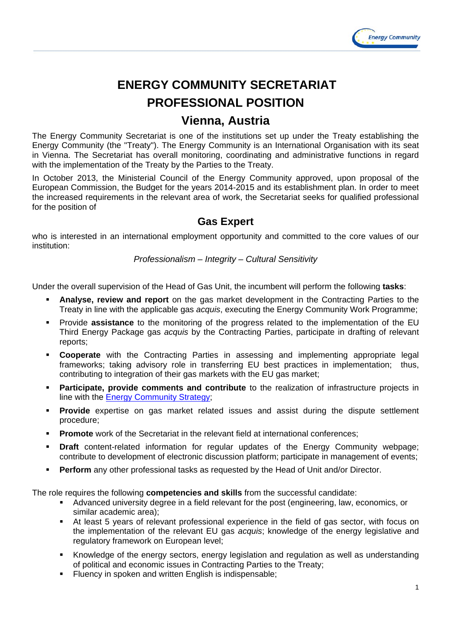

# **ENERGY COMMUNITY SECRETARIAT PROFESSIONAL POSITION**

## **Vienna, Austria**

The Energy Community Secretariat is one of the institutions set up under the Treaty establishing the Energy Community (the "Treaty"). The Energy Community is an International Organisation with its seat in Vienna. The Secretariat has overall monitoring, coordinating and administrative functions in regard with the implementation of the Treaty by the Parties to the Treaty.

In October 2013, the Ministerial Council of the Energy Community approved, upon proposal of the European Commission, the Budget for the years 2014-2015 and its establishment plan. In order to meet the increased requirements in the relevant area of work, the Secretariat seeks for qualified professional for the position of

### **Gas Expert**

who is interested in an international employment opportunity and committed to the core values of our institution:

*Professionalism – Integrity – Cultural Sensitivity* 

Under the overall supervision of the Head of Gas Unit, the incumbent will perform the following **tasks**:

- **Analyse, review and report** on the gas market development in the Contracting Parties to the Treaty in line with the applicable gas *acquis*, executing the Energy Community Work Programme;
- **Provide assistance** to the monitoring of the progress related to the implementation of the EU Third Energy Package gas *acquis* by the Contracting Parties, participate in drafting of relevant reports;
- **Cooperate** with the Contracting Parties in assessing and implementing appropriate legal frameworks; taking advisory role in transferring EU best practices in implementation; thus, contributing to integration of their gas markets with the EU gas market;
- **Participate, provide comments and contribute** to the realization of infrastructure projects in line with the Energy Community Strategy;
- **Provide** expertise on gas market related issues and assist during the dispute settlement procedure;
- **Promote** work of the Secretariat in the relevant field at international conferences:
- **Draft** content-related information for regular updates of the Energy Community webpage; contribute to development of electronic discussion platform; participate in management of events;
- **Perform** any other professional tasks as requested by the Head of Unit and/or Director.

The role requires the following **competencies and skills** from the successful candidate:

- Advanced university degree in a field relevant for the post (engineering, law, economics, or similar academic area);
- At least 5 years of relevant professional experience in the field of gas sector, with focus on the implementation of the relevant EU gas *acquis*; knowledge of the energy legislative and regulatory framework on European level;
- Knowledge of the energy sectors, energy legislation and regulation as well as understanding of political and economic issues in Contracting Parties to the Treaty;
- Fluency in spoken and written English is indispensable;